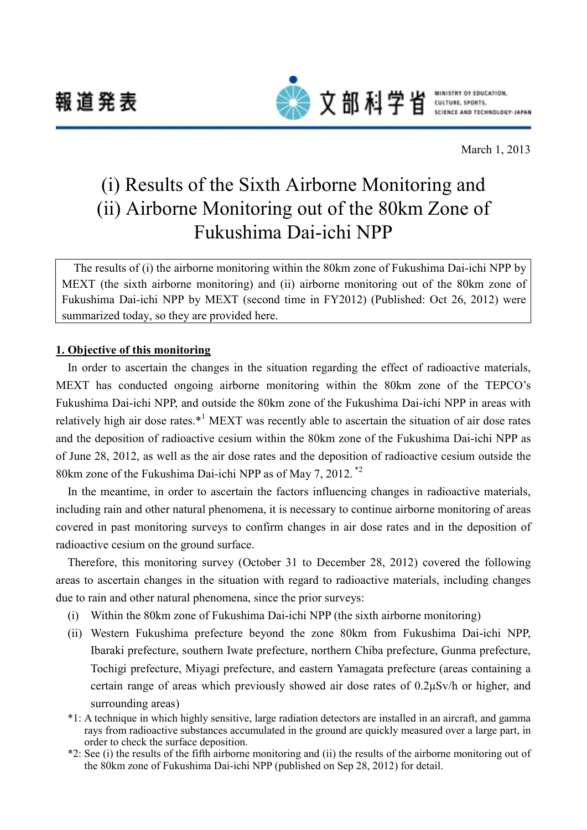報道発表



文部科学省 SULTURE, SPORTS.

March 1, 2013

# (i) Results of the Sixth Airborne Monitoring and (ii) Airborne Monitoring out of the 80km Zone of Fukushima Dai-ichi NPP

The results of (i) the airborne monitoring within the 80km zone of Fukushima Dai-ichi NPP by MEXT (the sixth airborne monitoring) and (ii) airborne monitoring out of the 80km zone of Fukushima Dai-ichi NPP by MEXT (second time in FY2012) (Published: Oct 26, 2012) were summarized today, so they are provided here.

#### **1. Objective of this monitoring**

In order to ascertain the changes in the situation regarding the effect of radioactive materials, MEXT has conducted ongoing airborne monitoring within the 80km zone of the TEPCO's Fukushima Dai-ichi NPP, and outside the 80km zone of the Fukushima Dai-ichi NPP in areas with relatively high air dose rates.\*<sup>1</sup> MEXT was recently able to ascertain the situation of air dose rates and the deposition of radioactive cesium within the 80km zone of the Fukushima Dai-ichi NPP as of June 28, 2012, as well as the air dose rates and the deposition of radioactive cesium outside the 80km zone of the Fukushima Dai-ichi NPP as of May 7, 2012.<sup>\*2</sup>

In the meantime, in order to ascertain the factors influencing changes in radioactive materials, including rain and other natural phenomena, it is necessary to continue airborne monitoring of areas covered in past monitoring surveys to confirm changes in air dose rates and in the deposition of radioactive cesium on the ground surface.

Therefore, this monitoring survey (October 31 to December 28, 2012) covered the following areas to ascertain changes in the situation with regard to radioactive materials, including changes due to rain and other natural phenomena, since the prior surveys:

- (i) Within the 80km zone of Fukushima Dai-ichi NPP (the sixth airborne monitoring)
- (ii) Western Fukushima prefecture beyond the zone 80km from Fukushima Dai-ichi NPP, Ibaraki prefecture, southern Iwate prefecture, northern Chiba prefecture, Gunma prefecture, Tochigi prefecture, Miyagi prefecture, and eastern Yamagata prefecture (areas containing a certain range of areas which previously showed air dose rates of 0.2μSv/h or higher, and surrounding areas)
- \*1: A technique in which highly sensitive, large radiation detectors are installed in an aircraft, and gamma rays from radioactive substances accumulated in the ground are quickly measured over a large part, in order to check the surface deposition.
- \*2: See (i) the results of the fifth airborne monitoring and (ii) the results of the airborne monitoring out of the 80km zone of Fukushima Dai-ichi NPP (published on Sep 28, 2012) for detail.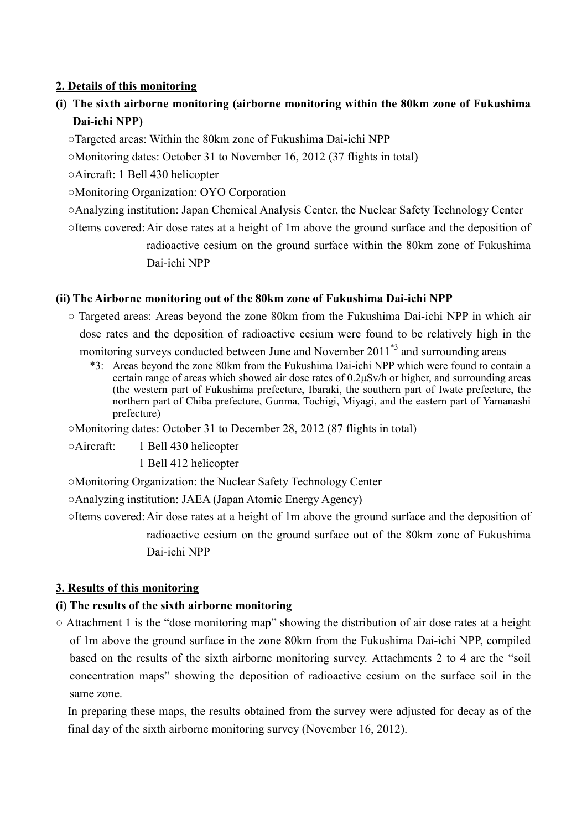### **2. Details of this monitoring**

- **(i) The sixth airborne monitoring (airborne monitoring within the 80km zone of Fukushima Dai-ichi NPP)**
	- ○Targeted areas: Within the 80km zone of Fukushima Dai-ichi NPP
	- ○Monitoring dates: October 31 to November 16, 2012 (37 flights in total)
	- ○Aircraft: 1 Bell 430 helicopter
	- ○Monitoring Organization: OYO Corporation
	- ○Analyzing institution: Japan Chemical Analysis Center, the Nuclear Safety Technology Center
	- ○Items covered:Air dose rates at a height of 1m above the ground surface and the deposition of radioactive cesium on the ground surface within the 80km zone of Fukushima Dai-ichi NPP

### **(ii) The Airborne monitoring out of the 80km zone of Fukushima Dai-ichi NPP**

- Targeted areas: Areas beyond the zone 80km from the Fukushima Dai-ichi NPP in which air dose rates and the deposition of radioactive cesium were found to be relatively high in the monitoring surveys conducted between June and November 2011<sup>\*3</sup> and surrounding areas
	- \*3: Areas beyond the zone 80km from the Fukushima Dai-ichi NPP which were found to contain a certain range of areas which showed air dose rates of 0.2μSv/h or higher, and surrounding areas (the western part of Fukushima prefecture, Ibaraki, the southern part of Iwate prefecture, the northern part of Chiba prefecture, Gunma, Tochigi, Miyagi, and the eastern part of Yamanashi prefecture)

○Monitoring dates: October 31 to December 28, 2012 (87 flights in total)

○Aircraft: 1 Bell 430 helicopter

1 Bell 412 helicopter

○Monitoring Organization: the Nuclear Safety Technology Center

○Analyzing institution: JAEA (Japan Atomic Energy Agency)

○Items covered:Air dose rates at a height of 1m above the ground surface and the deposition of radioactive cesium on the ground surface out of the 80km zone of Fukushima Dai-ichi NPP

## **3. Results of this monitoring**

#### **(i) The results of the sixth airborne monitoring**

 $\circ$  Attachment 1 is the "dose monitoring map" showing the distribution of air dose rates at a height of 1m above the ground surface in the zone 80km from the Fukushima Dai-ichi NPP, compiled based on the results of the sixth airborne monitoring survey. Attachments 2 to 4 are the "soil concentration maps" showing the deposition of radioactive cesium on the surface soil in the same zone.

In preparing these maps, the results obtained from the survey were adjusted for decay as of the final day of the sixth airborne monitoring survey (November 16, 2012).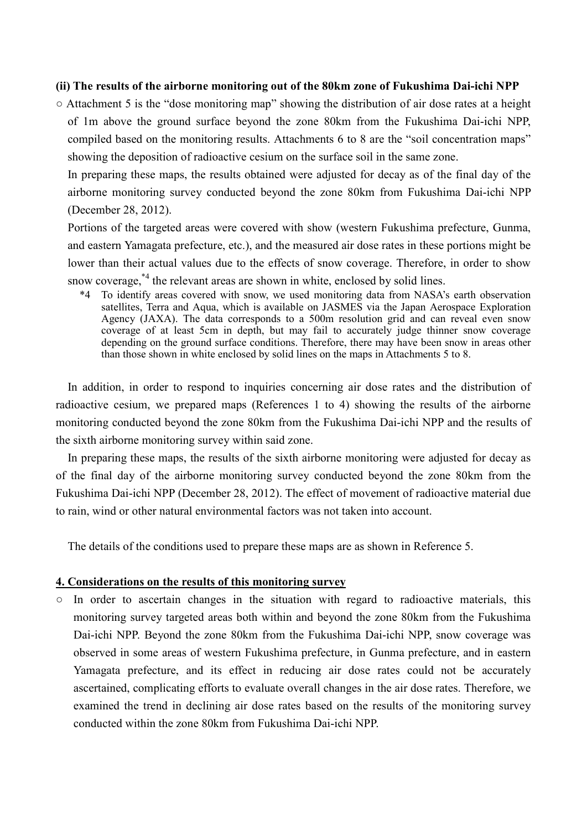#### **(ii) The results of the airborne monitoring out of the 80km zone of Fukushima Dai-ichi NPP**

 $\circ$  Attachment 5 is the "dose monitoring map" showing the distribution of air dose rates at a height of 1m above the ground surface beyond the zone 80km from the Fukushima Dai-ichi NPP, compiled based on the monitoring results. Attachments 6 to 8 are the "soil concentration maps" showing the deposition of radioactive cesium on the surface soil in the same zone.

In preparing these maps, the results obtained were adjusted for decay as of the final day of the airborne monitoring survey conducted beyond the zone 80km from Fukushima Dai-ichi NPP (December 28, 2012).

Portions of the targeted areas were covered with show (western Fukushima prefecture, Gunma, and eastern Yamagata prefecture, etc.), and the measured air dose rates in these portions might be lower than their actual values due to the effects of snow coverage. Therefore, in order to show snow coverage,<sup>\*4</sup> the relevant areas are shown in white, enclosed by solid lines.

\*4 To identify areas covered with snow, we used monitoring data from NASA's earth observation satellites, Terra and Aqua, which is available on JASMES via the Japan Aerospace Exploration Agency (JAXA). The data corresponds to a 500m resolution grid and can reveal even snow coverage of at least 5cm in depth, but may fail to accurately judge thinner snow coverage depending on the ground surface conditions. Therefore, there may have been snow in areas other than those shown in white enclosed by solid lines on the maps in Attachments 5 to 8.

In addition, in order to respond to inquiries concerning air dose rates and the distribution of radioactive cesium, we prepared maps (References 1 to 4) showing the results of the airborne monitoring conducted beyond the zone 80km from the Fukushima Dai-ichi NPP and the results of the sixth airborne monitoring survey within said zone.

In preparing these maps, the results of the sixth airborne monitoring were adjusted for decay as of the final day of the airborne monitoring survey conducted beyond the zone 80km from the Fukushima Dai-ichi NPP (December 28, 2012). The effect of movement of radioactive material due to rain, wind or other natural environmental factors was not taken into account.

The details of the conditions used to prepare these maps are as shown in Reference 5.

#### **4. Considerations on the results of this monitoring survey**

○ In order to ascertain changes in the situation with regard to radioactive materials, this monitoring survey targeted areas both within and beyond the zone 80km from the Fukushima Dai-ichi NPP. Beyond the zone 80km from the Fukushima Dai-ichi NPP, snow coverage was observed in some areas of western Fukushima prefecture, in Gunma prefecture, and in eastern Yamagata prefecture, and its effect in reducing air dose rates could not be accurately ascertained, complicating efforts to evaluate overall changes in the air dose rates. Therefore, we examined the trend in declining air dose rates based on the results of the monitoring survey conducted within the zone 80km from Fukushima Dai-ichi NPP.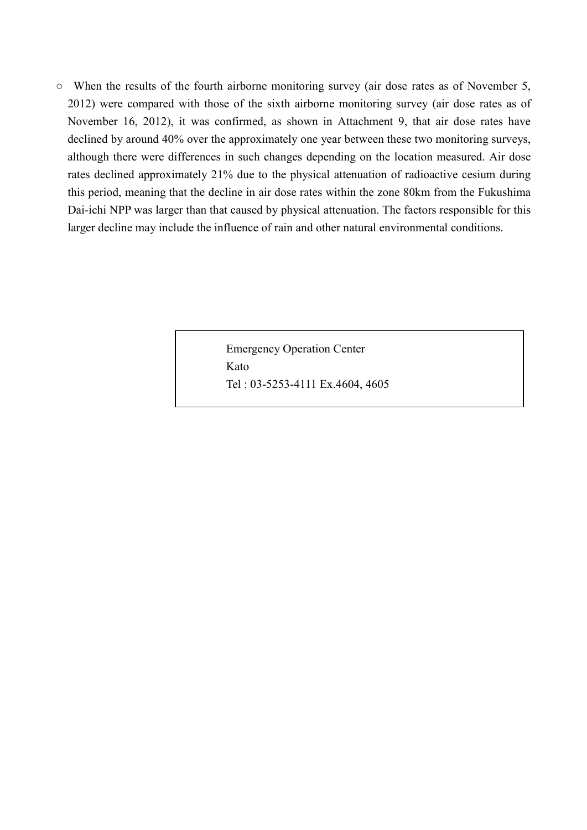○ When the results of the fourth airborne monitoring survey (air dose rates as of November 5, 2012) were compared with those of the sixth airborne monitoring survey (air dose rates as of November 16, 2012), it was confirmed, as shown in Attachment 9, that air dose rates have declined by around 40% over the approximately one year between these two monitoring surveys, although there were differences in such changes depending on the location measured. Air dose rates declined approximately 21% due to the physical attenuation of radioactive cesium during this period, meaning that the decline in air dose rates within the zone 80km from the Fukushima Dai-ichi NPP was larger than that caused by physical attenuation. The factors responsible for this larger decline may include the influence of rain and other natural environmental conditions.

> Emergency Operation Center Kato Tel : 03-5253-4111 Ex.4604, 4605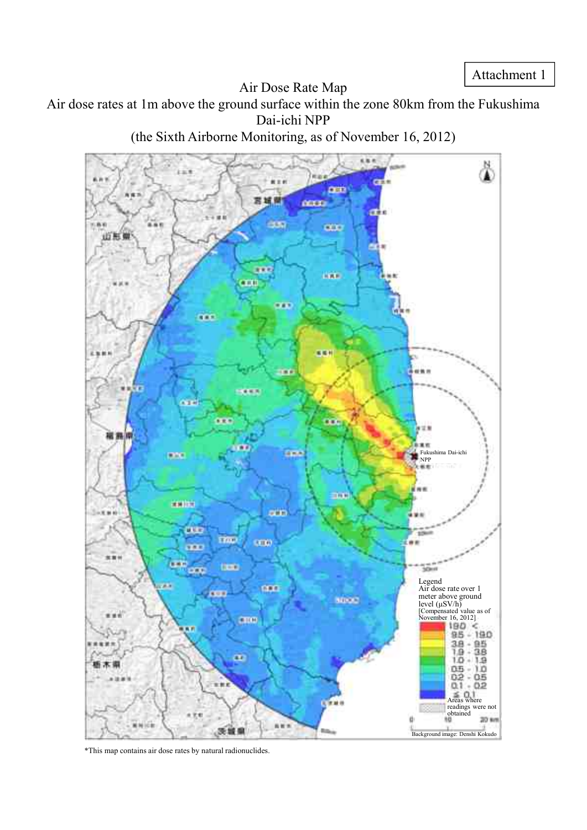Air Dose Rate Map

Air dose rates at 1m above the ground surface within the zone 80km from the Fukushima Dai-ichi NPP

(the Sixth Airborne Monitoring, as of November 16, 2012)



\*This map contains air dose rates by natural radionuclides.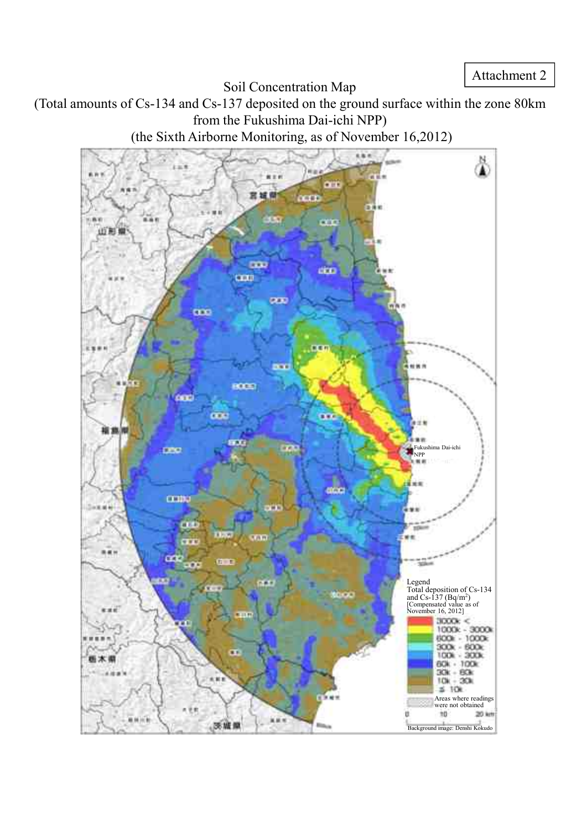Soil Concentration Map

(Total amounts of Cs-134 and Cs-137 deposited on the ground surface within the zone 80km from the Fukushima Dai-ichi NPP)

(the Sixth Airborne Monitoring, as of November 16,2012)

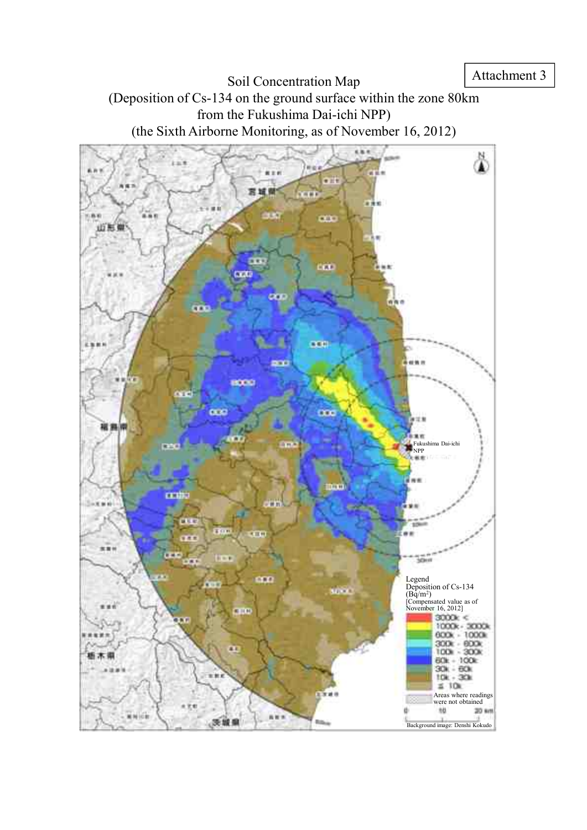Soil Concentration Map (Deposition of Cs-134 on the ground surface within the zone 80km from the Fukushima Dai-ichi NPP) (the Sixth Airborne Monitoring, as of November 16, 2012)

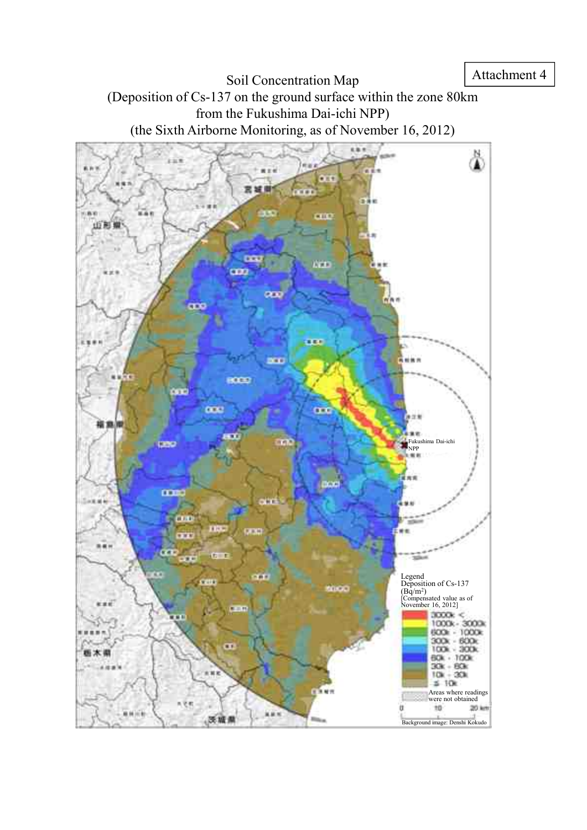Soil Concentration Map (Deposition of Cs-137 on the ground surface within the zone 80km from the Fukushima Dai-ichi NPP) (the Sixth Airborne Monitoring, as of November 16, 2012)

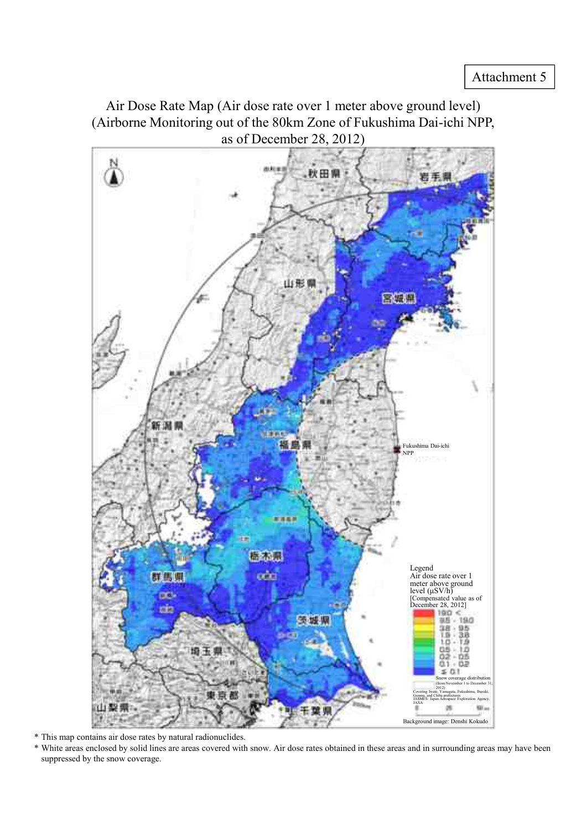Air Dose Rate Map (Air dose rate over 1 meter above ground level) (Airborne Monitoring out of the 80km Zone of Fukushima Dai-ichi NPP, as of December 28, 2012)



\* This map contains air dose rates by natural radionuclides.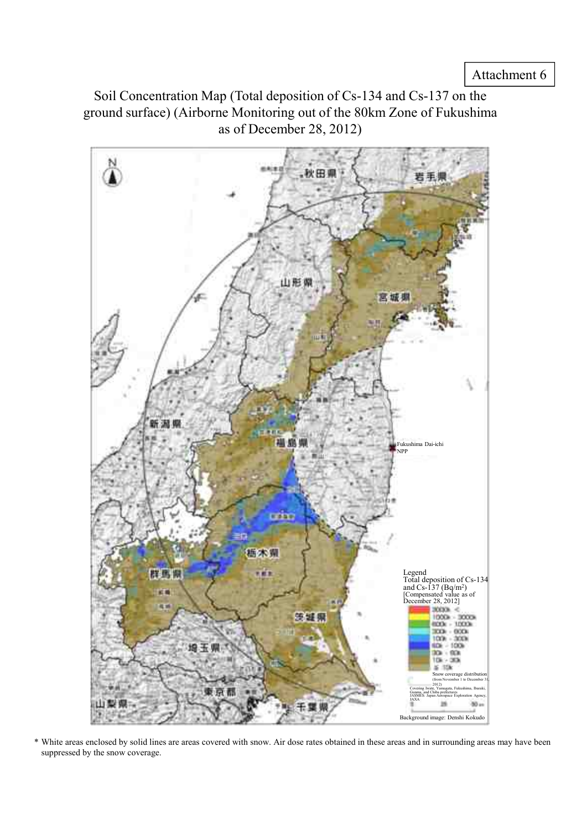Soil Concentration Map (Total deposition of Cs-134 and Cs-137 on the ground surface) (Airborne Monitoring out of the 80km Zone of Fukushima as of December 28, 2012)

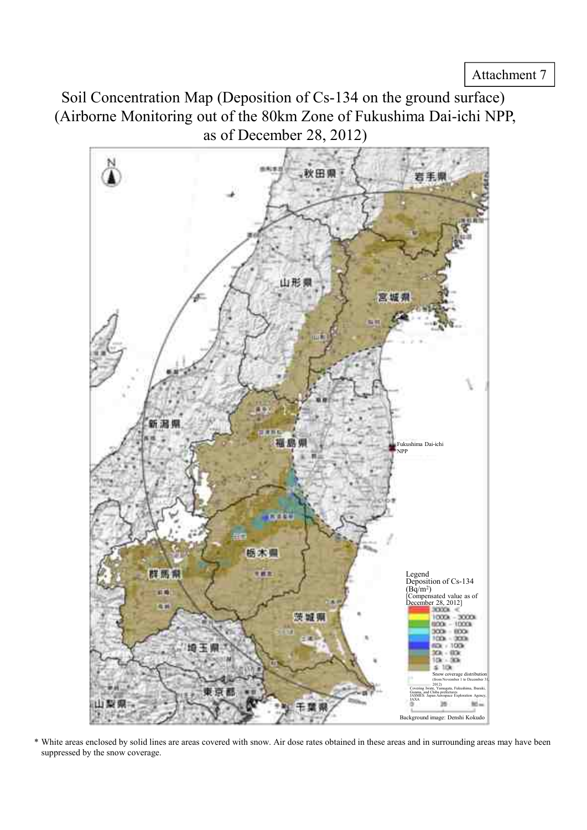Soil Concentration Map (Deposition of Cs-134 on the ground surface) (Airborne Monitoring out of the 80km Zone of Fukushima Dai-ichi NPP, as of December 28, 2012)

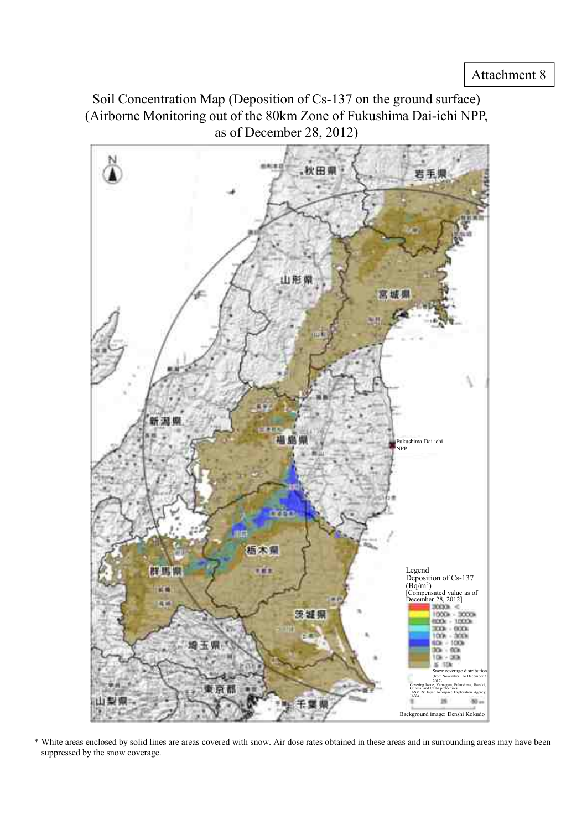Soil Concentration Map (Deposition of Cs-137 on the ground surface) (Airborne Monitoring out of the 80km Zone of Fukushima Dai-ichi NPP, as of December 28, 2012)

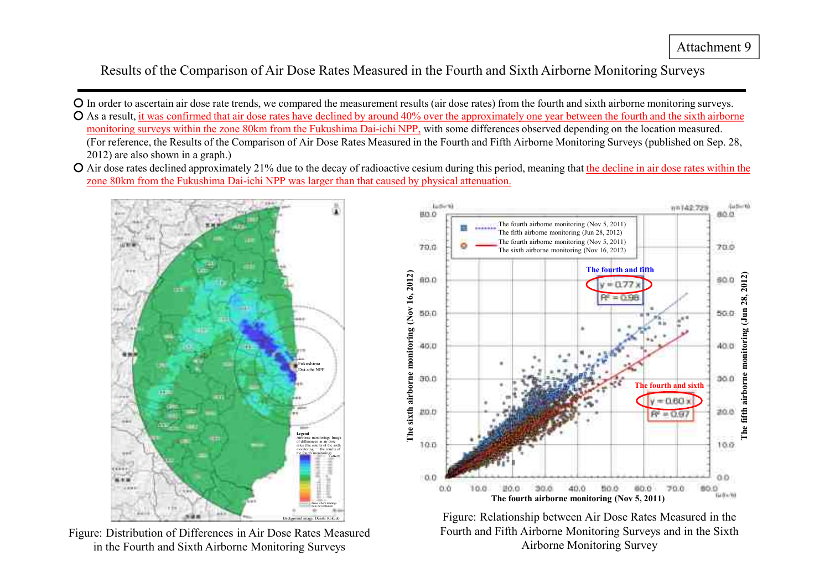Results of the Comparison of Air Dose Rates Measured in the Fourth and Sixth Airborne Monitoring Surveys

- In order to ascertain air dose rate trends, we compared the measurement results (air dose rates) from the fourth and sixth airborne monitoring surveys. ○ As a result, it was confirmed that air dose rates have declined by around 40% over the approximately one year between the fourth and the sixth airborne monitoring surveys within the zone 80km from the Fukushima Dai-ichi NPP, with some differences observed depending on the location measured. (For reference, the Results of the Comparison of Air Dose Rates Measured in the Fourth and Fifth Airborne Monitoring Surveys (published on Sep. 28, 2012) are also shown in a graph.)
- Air dose rates declined approximately 21% due to the decay of radioactive cesium during this period, meaning that the decline in air dose rates within the zone 80km from the Fukushima Dai-ichi NPP was larger than that caused by physical attenuation.



Figure: Distribution of Differences in Air Dose Rates Measured in the Fourth and Sixth Airborne Monitoring Surveys



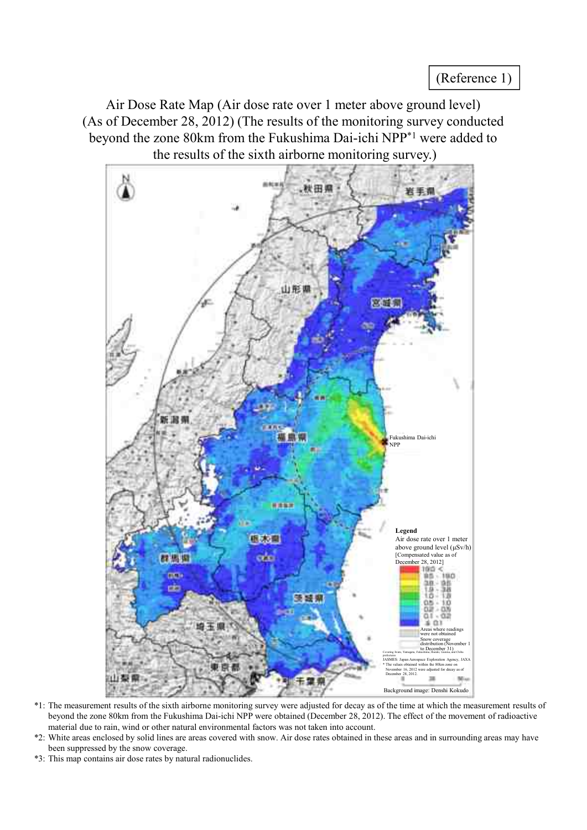Air Dose Rate Map (Air dose rate over 1 meter above ground level) (As of December 28, 2012) (The results of the monitoring survey conducted beyond the zone 80km from the Fukushima Dai-ichi NPP \*1 were added to the results of the sixth airborne monitoring survey.)



- \*1: The measurement results of the sixth airborne monitoring survey were adjusted for decay as of the time at which the measurement results of beyond the zone 80km from the Fukushima Dai-ichi NPP were obtained (December 28, 2012). The effect of the movement of radioactive material due to rain, wind or other natural environmental factors was not taken into account.
- \*2: White areas enclosed by solid lines are areas covered with snow. Air dose rates obtained in these areas and in surrounding areas may have been suppressed by the snow coverage.
- \*3: This map contains air dose rates by natural radionuclides.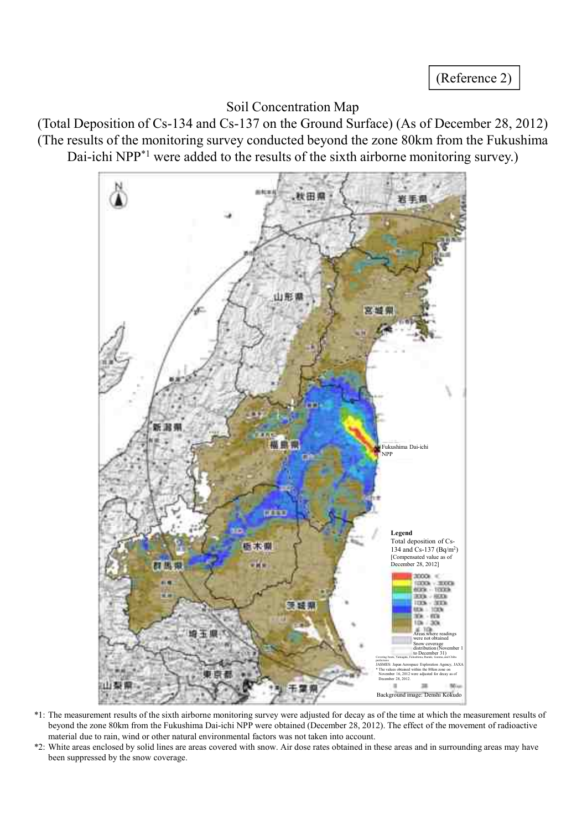(Reference 2)

# Soil Concentration Map

(Total Deposition of Cs-134 and Cs-137 on the Ground Surface) (As of December 28, 2012) (The results of the monitoring survey conducted beyond the zone 80km from the Fukushima Dai-ichi NPP<sup>\*1</sup> were added to the results of the sixth airborne monitoring survey.)



- \*1: The measurement results of the sixth airborne monitoring survey were adjusted for decay as of the time at which the measurement results of beyond the zone 80km from the Fukushima Dai-ichi NPP were obtained (December 28, 2012). The effect of the movement of radioactive material due to rain, wind or other natural environmental factors was not taken into account.
- \*2: White areas enclosed by solid lines are areas covered with snow. Air dose rates obtained in these areas and in surrounding areas may have been suppressed by the snow coverage.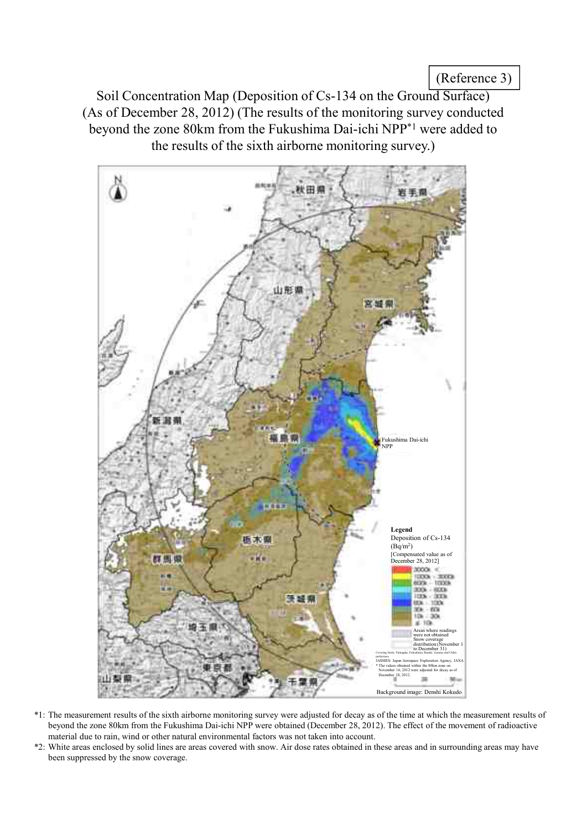(Reference 3)

Soil Concentration Map (Deposition of Cs-134 on the Ground Surface) (As of December 28, 2012) (The results of the monitoring survey conducted beyond the zone 80km from the Fukushima Dai-ichi NPP \*1 were added to the results of the sixth airborne monitoring survey.)



- \*1: The measurement results of the sixth airborne monitoring survey were adjusted for decay as of the time at which the measurement results of beyond the zone 80km from the Fukushima Dai-ichi NPP were obtained (December 28, 2012). The effect of the movement of radioactive material due to rain, wind or other natural environmental factors was not taken into account.
- \*2: White areas enclosed by solid lines are areas covered with snow. Air dose rates obtained in these areas and in surrounding areas may have been suppressed by the snow coverage.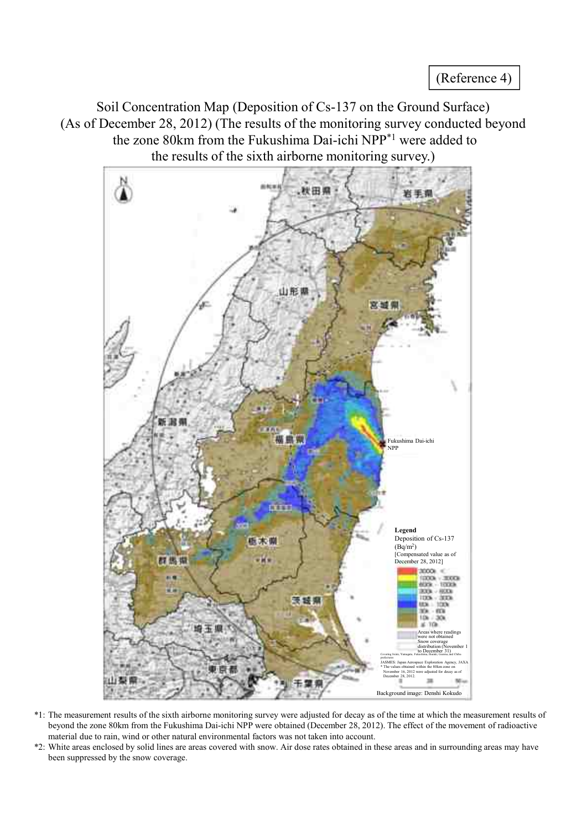Soil Concentration Map (Deposition of Cs-137 on the Ground Surface) (As of December 28, 2012) (The results of the monitoring survey conducted beyond the zone 80km from the Fukushima Dai-ichi NPP \*1 were added to the results of the sixth airborne monitoring survey.)



- \*1: The measurement results of the sixth airborne monitoring survey were adjusted for decay as of the time at which the measurement results of beyond the zone 80km from the Fukushima Dai-ichi NPP were obtained (December 28, 2012). The effect of the movement of radioactive material due to rain, wind or other natural environmental factors was not taken into account.
- \*2: White areas enclosed by solid lines are areas covered with snow. Air dose rates obtained in these areas and in surrounding areas may have been suppressed by the snow coverage.